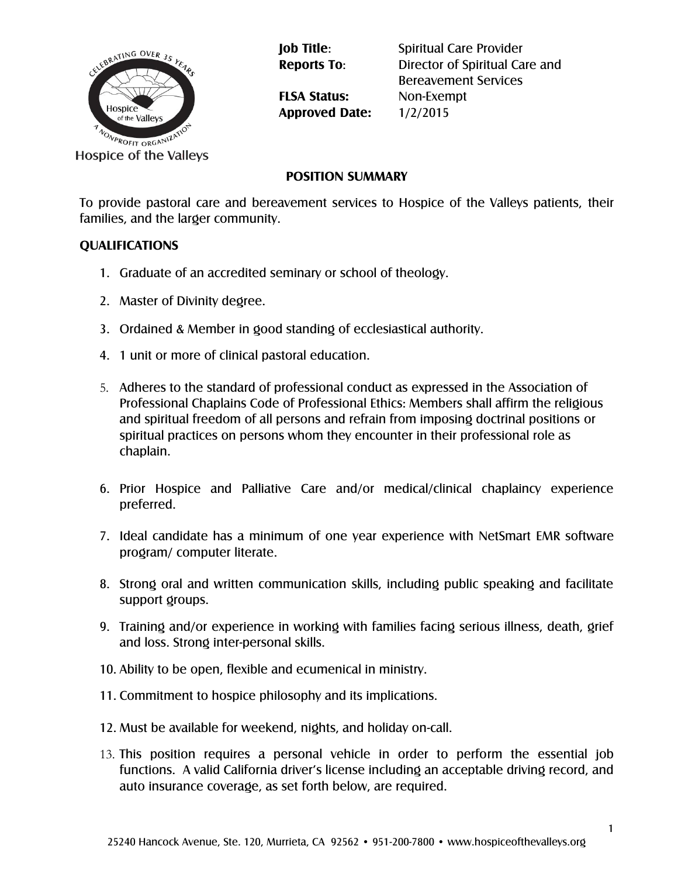

**FLSA Status:** Non-Exempt **Approved Date:** 1/2/2015

**Job Title:** Spiritual Care Provider **Reports To**: Director of Spiritual Care and Bereavement Services

**POSITION SUMMARY**

To provide pastoral care and bereavement services to Hospice of the Valleys patients, their families, and the larger community.

## **QUALIFICATIONS**

- 1. Graduate of an accredited seminary or school of theology.
- 2. Master of Divinity degree.
- 3. Ordained & Member in good standing of ecclesiastical authority.
- 4. 1 unit or more of clinical pastoral education.
- 5. Adheres to the standard of professional conduct as expressed in the Association of Professional Chaplains Code of Professional Ethics: Members shall affirm the religious and spiritual freedom of all persons and refrain from imposing doctrinal positions or spiritual practices on persons whom they encounter in their professional role as chaplain.
- 6. Prior Hospice and Palliative Care and/or medical/clinical chaplaincy experience preferred.
- 7. Ideal candidate has a minimum of one year experience with NetSmart EMR software program/ computer literate.
- 8. Strong oral and written communication skills, including public speaking and facilitate support groups.
- 9. Training and/or experience in working with families facing serious illness, death, grief and loss. Strong inter-personal skills.
- 10. Ability to be open, flexible and ecumenical in ministry.
- 11. Commitment to hospice philosophy and its implications.
- 12. Must be available for weekend, nights, and holiday on-call.
- 13. This position requires a personal vehicle in order to perform the essential job functions. A valid California driver's license including an acceptable driving record, and auto insurance coverage, as set forth below, are required.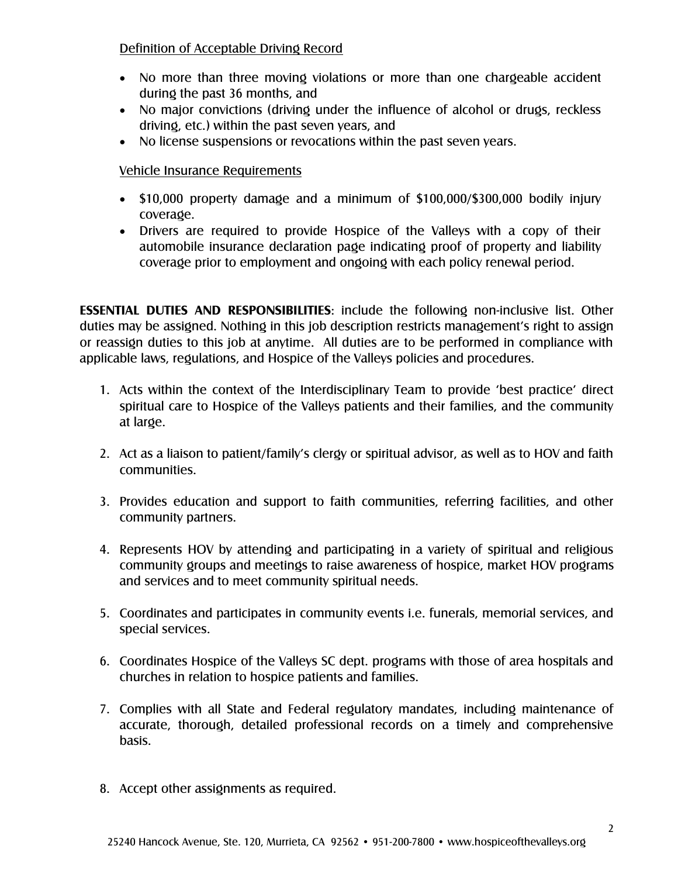## Definition of Acceptable Driving Record

- No more than three moving violations or more than one chargeable accident during the past 36 months, and
- No major convictions (driving under the influence of alcohol or drugs, reckless driving, etc.) within the past seven years, and
- No license suspensions or revocations within the past seven years.

## Vehicle Insurance Requirements

- \$10,000 property damage and a minimum of \$100,000/\$300,000 bodily injury coverage.
- Drivers are required to provide Hospice of the Valleys with a copy of their automobile insurance declaration page indicating proof of property and liability coverage prior to employment and ongoing with each policy renewal period.

**ESSENTIAL DUTIES AND RESPONSIBILITIES**: include the following non-inclusive list. Other duties may be assigned. Nothing in this job description restricts management's right to assign or reassign duties to this job at anytime. All duties are to be performed in compliance with applicable laws, regulations, and Hospice of the Valleys policies and procedures.

- 1. Acts within the context of the Interdisciplinary Team to provide 'best practice' direct spiritual care to Hospice of the Valleys patients and their families, and the community at large.
- 2. Act as a liaison to patient/family's clergy or spiritual advisor, as well as to HOV and faith communities.
- 3. Provides education and support to faith communities, referring facilities, and other community partners.
- 4. Represents HOV by attending and participating in a variety of spiritual and religious community groups and meetings to raise awareness of hospice, market HOV programs and services and to meet community spiritual needs.
- 5. Coordinates and participates in community events i.e. funerals, memorial services, and special services.
- 6. Coordinates Hospice of the Valleys SC dept. programs with those of area hospitals and churches in relation to hospice patients and families.
- 7. Complies with all State and Federal regulatory mandates, including maintenance of accurate, thorough, detailed professional records on a timely and comprehensive basis.
- 8. Accept other assignments as required.